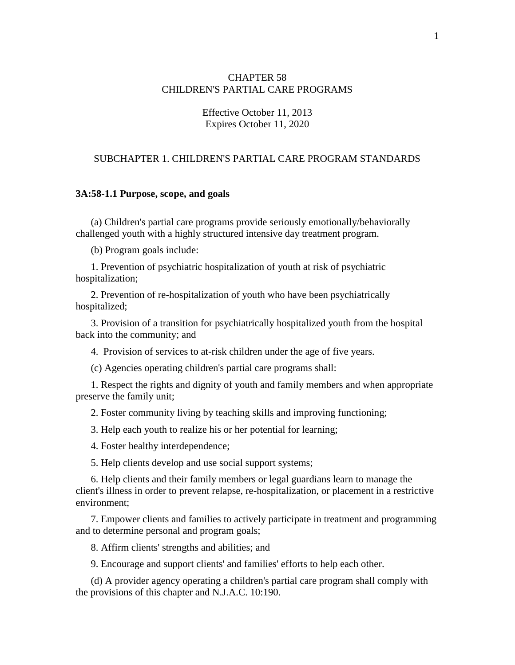## CHAPTER 58 CHILDREN'S PARTIAL CARE PROGRAMS

## Effective October 11, 2013 Expires October 11, 2020

## SUBCHAPTER 1. CHILDREN'S PARTIAL CARE PROGRAM STANDARDS

### **3A:58-1.1 Purpose, scope, and goals**

(a) Children's partial care programs provide seriously emotionally/behaviorally challenged youth with a highly structured intensive day treatment program.

(b) Program goals include:

1. Prevention of psychiatric hospitalization of youth at risk of psychiatric hospitalization;

2. Prevention of re-hospitalization of youth who have been psychiatrically hospitalized;

3. Provision of a transition for psychiatrically hospitalized youth from the hospital back into the community; and

4. Provision of services to at-risk children under the age of five years.

(c) Agencies operating children's partial care programs shall:

1. Respect the rights and dignity of youth and family members and when appropriate preserve the family unit;

2. Foster community living by teaching skills and improving functioning;

3. Help each youth to realize his or her potential for learning;

4. Foster healthy interdependence;

5. Help clients develop and use social support systems;

6. Help clients and their family members or legal guardians learn to manage the client's illness in order to prevent relapse, re-hospitalization, or placement in a restrictive environment;

7. Empower clients and families to actively participate in treatment and programming and to determine personal and program goals;

8. Affirm clients' strengths and abilities; and

9. Encourage and support clients' and families' efforts to help each other.

(d) A provider agency operating a children's partial care program shall comply with the provisions of this chapter and N.J.A.C. 10:190.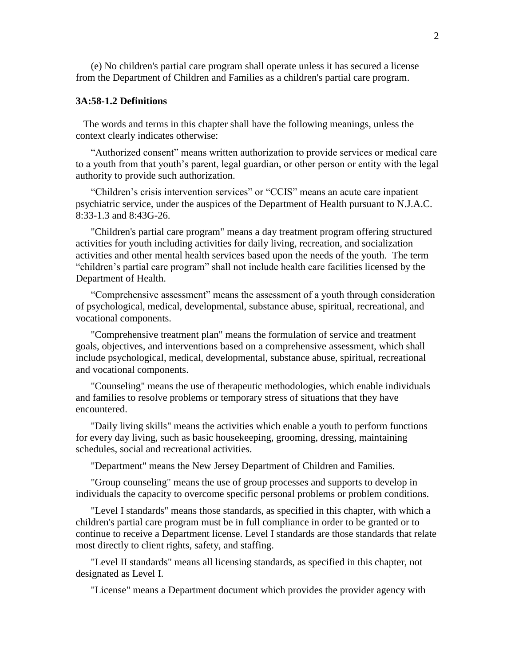(e) No children's partial care program shall operate unless it has secured a license from the Department of Children and Families as a children's partial care program.

## **3A:58-1.2 Definitions**

 The words and terms in this chapter shall have the following meanings, unless the context clearly indicates otherwise:

"Authorized consent" means written authorization to provide services or medical care to a youth from that youth's parent, legal guardian, or other person or entity with the legal authority to provide such authorization.

"Children's crisis intervention services" or "CCIS" means an acute care inpatient psychiatric service, under the auspices of the Department of Health pursuant to N.J.A.C. 8:33-1.3 and 8:43G-26.

"Children's partial care program" means a day treatment program offering structured activities for youth including activities for daily living, recreation, and socialization activities and other mental health services based upon the needs of the youth. The term "children's partial care program" shall not include health care facilities licensed by the Department of Health.

"Comprehensive assessment" means the assessment of a youth through consideration of psychological, medical, developmental, substance abuse, spiritual, recreational, and vocational components.

"Comprehensive treatment plan" means the formulation of service and treatment goals, objectives, and interventions based on a comprehensive assessment, which shall include psychological, medical, developmental, substance abuse, spiritual, recreational and vocational components.

"Counseling" means the use of therapeutic methodologies, which enable individuals and families to resolve problems or temporary stress of situations that they have encountered.

"Daily living skills" means the activities which enable a youth to perform functions for every day living, such as basic housekeeping, grooming, dressing, maintaining schedules, social and recreational activities.

"Department" means the New Jersey Department of Children and Families.

"Group counseling" means the use of group processes and supports to develop in individuals the capacity to overcome specific personal problems or problem conditions.

"Level I standards" means those standards, as specified in this chapter, with which a children's partial care program must be in full compliance in order to be granted or to continue to receive a Department license. Level I standards are those standards that relate most directly to client rights, safety, and staffing.

"Level II standards" means all licensing standards, as specified in this chapter, not designated as Level I.

"License" means a Department document which provides the provider agency with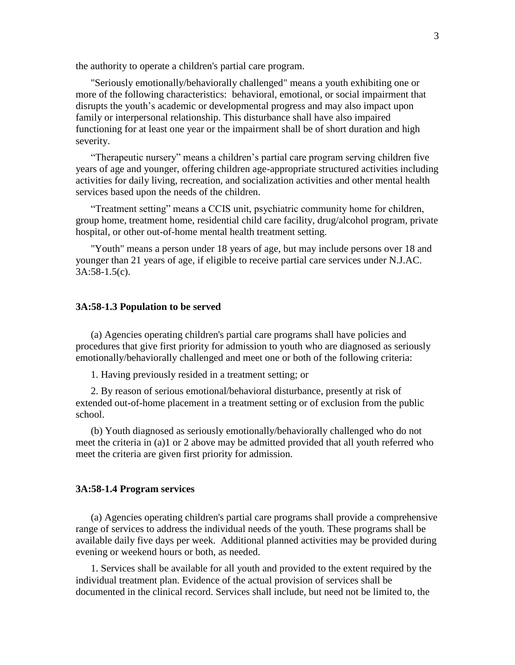the authority to operate a children's partial care program.

"Seriously emotionally/behaviorally challenged" means a youth exhibiting one or more of the following characteristics: behavioral, emotional, or social impairment that disrupts the youth's academic or developmental progress and may also impact upon family or interpersonal relationship. This disturbance shall have also impaired functioning for at least one year or the impairment shall be of short duration and high severity.

"Therapeutic nursery" means a children's partial care program serving children five years of age and younger, offering children age-appropriate structured activities including activities for daily living, recreation, and socialization activities and other mental health services based upon the needs of the children.

"Treatment setting" means a CCIS unit, psychiatric community home for children, group home, treatment home, residential child care facility, drug/alcohol program, private hospital, or other out-of-home mental health treatment setting.

"Youth" means a person under 18 years of age, but may include persons over 18 and younger than 21 years of age, if eligible to receive partial care services under N.J.AC. 3A:58-1.5(c).

### **3A:58-1.3 Population to be served**

(a) Agencies operating children's partial care programs shall have policies and procedures that give first priority for admission to youth who are diagnosed as seriously emotionally/behaviorally challenged and meet one or both of the following criteria:

1. Having previously resided in a treatment setting; or

2. By reason of serious emotional/behavioral disturbance, presently at risk of extended out-of-home placement in a treatment setting or of exclusion from the public school.

(b) Youth diagnosed as seriously emotionally/behaviorally challenged who do not meet the criteria in (a)1 or 2 above may be admitted provided that all youth referred who meet the criteria are given first priority for admission.

### **3A:58-1.4 Program services**

(a) Agencies operating children's partial care programs shall provide a comprehensive range of services to address the individual needs of the youth. These programs shall be available daily five days per week. Additional planned activities may be provided during evening or weekend hours or both, as needed.

1. Services shall be available for all youth and provided to the extent required by the individual treatment plan. Evidence of the actual provision of services shall be documented in the clinical record. Services shall include, but need not be limited to, the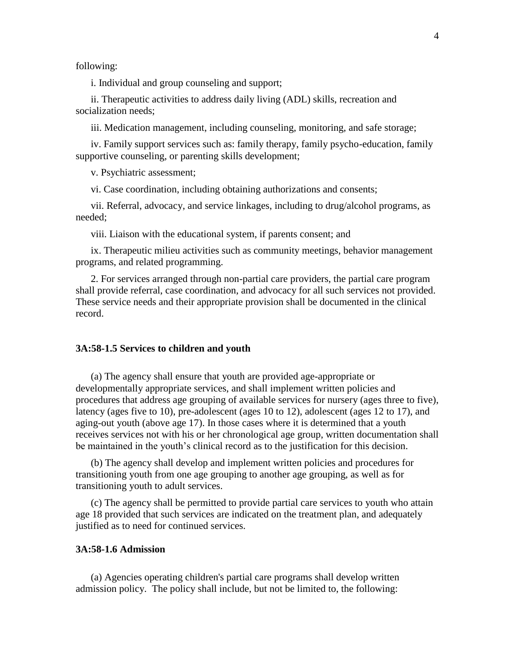following:

i. Individual and group counseling and support;

ii. Therapeutic activities to address daily living (ADL) skills, recreation and socialization needs;

iii. Medication management, including counseling, monitoring, and safe storage;

iv. Family support services such as: family therapy, family psycho-education, family supportive counseling, or parenting skills development;

v. Psychiatric assessment;

vi. Case coordination, including obtaining authorizations and consents;

vii. Referral, advocacy, and service linkages, including to drug/alcohol programs, as needed;

viii. Liaison with the educational system, if parents consent; and

ix. Therapeutic milieu activities such as community meetings, behavior management programs, and related programming.

2. For services arranged through non-partial care providers, the partial care program shall provide referral, case coordination, and advocacy for all such services not provided. These service needs and their appropriate provision shall be documented in the clinical record.

### **3A:58-1.5 Services to children and youth**

(a) The agency shall ensure that youth are provided age-appropriate or developmentally appropriate services, and shall implement written policies and procedures that address age grouping of available services for nursery (ages three to five), latency (ages five to 10), pre-adolescent (ages 10 to 12), adolescent (ages 12 to 17), and aging-out youth (above age 17). In those cases where it is determined that a youth receives services not with his or her chronological age group, written documentation shall be maintained in the youth's clinical record as to the justification for this decision.

(b) The agency shall develop and implement written policies and procedures for transitioning youth from one age grouping to another age grouping, as well as for transitioning youth to adult services.

(c) The agency shall be permitted to provide partial care services to youth who attain age 18 provided that such services are indicated on the treatment plan, and adequately justified as to need for continued services.

### **3A:58-1.6 Admission**

(a) Agencies operating children's partial care programs shall develop written admission policy. The policy shall include, but not be limited to, the following: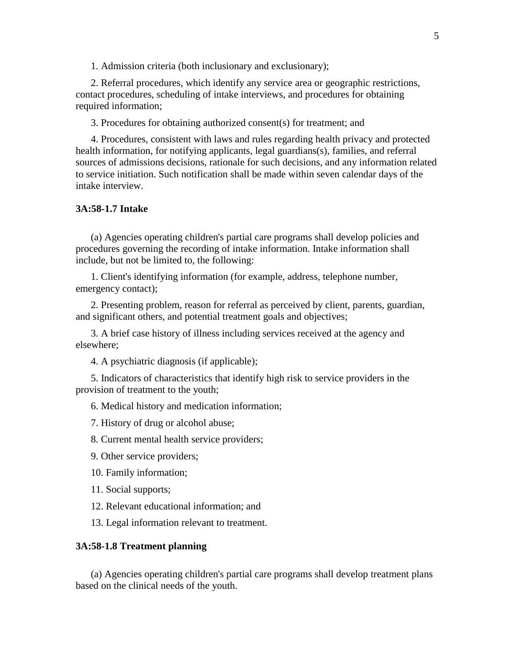1. Admission criteria (both inclusionary and exclusionary);

2. Referral procedures, which identify any service area or geographic restrictions, contact procedures, scheduling of intake interviews, and procedures for obtaining required information;

3. Procedures for obtaining authorized consent(s) for treatment; and

4. Procedures, consistent with laws and rules regarding health privacy and protected health information, for notifying applicants, legal guardians(s), families, and referral sources of admissions decisions, rationale for such decisions, and any information related to service initiation. Such notification shall be made within seven calendar days of the intake interview.

# **3A:58-1.7 Intake**

(a) Agencies operating children's partial care programs shall develop policies and procedures governing the recording of intake information. Intake information shall include, but not be limited to, the following:

1. Client's identifying information (for example, address, telephone number, emergency contact);

2. Presenting problem, reason for referral as perceived by client, parents, guardian, and significant others, and potential treatment goals and objectives;

3. A brief case history of illness including services received at the agency and elsewhere;

4. A psychiatric diagnosis (if applicable);

5. Indicators of characteristics that identify high risk to service providers in the provision of treatment to the youth;

6. Medical history and medication information;

7. History of drug or alcohol abuse;

8. Current mental health service providers;

9. Other service providers;

10. Family information;

11. Social supports;

- 12. Relevant educational information; and
- 13. Legal information relevant to treatment.

#### **3A:58-1.8 Treatment planning**

(a) Agencies operating children's partial care programs shall develop treatment plans based on the clinical needs of the youth.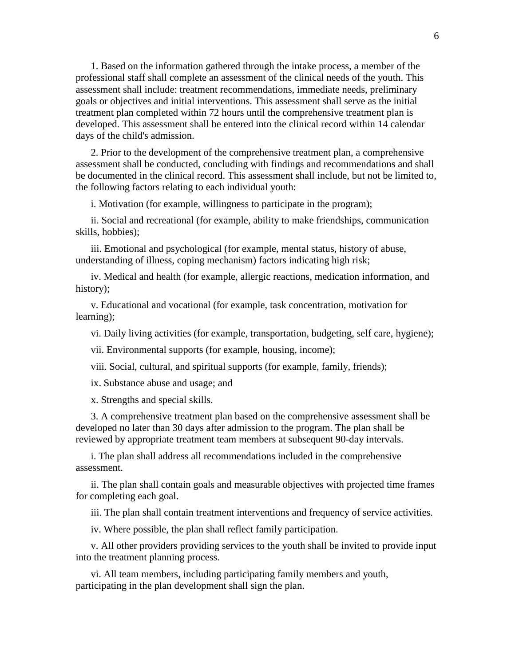1. Based on the information gathered through the intake process, a member of the professional staff shall complete an assessment of the clinical needs of the youth. This assessment shall include: treatment recommendations, immediate needs, preliminary goals or objectives and initial interventions. This assessment shall serve as the initial treatment plan completed within 72 hours until the comprehensive treatment plan is developed. This assessment shall be entered into the clinical record within 14 calendar days of the child's admission.

2. Prior to the development of the comprehensive treatment plan, a comprehensive assessment shall be conducted, concluding with findings and recommendations and shall be documented in the clinical record. This assessment shall include, but not be limited to, the following factors relating to each individual youth:

i. Motivation (for example, willingness to participate in the program);

ii. Social and recreational (for example, ability to make friendships, communication skills, hobbies);

iii. Emotional and psychological (for example, mental status, history of abuse, understanding of illness, coping mechanism) factors indicating high risk;

iv. Medical and health (for example, allergic reactions, medication information, and history);

v. Educational and vocational (for example, task concentration, motivation for learning);

vi. Daily living activities (for example, transportation, budgeting, self care, hygiene);

vii. Environmental supports (for example, housing, income);

viii. Social, cultural, and spiritual supports (for example, family, friends);

ix. Substance abuse and usage; and

x. Strengths and special skills.

3. A comprehensive treatment plan based on the comprehensive assessment shall be developed no later than 30 days after admission to the program. The plan shall be reviewed by appropriate treatment team members at subsequent 90-day intervals.

i. The plan shall address all recommendations included in the comprehensive assessment.

ii. The plan shall contain goals and measurable objectives with projected time frames for completing each goal.

iii. The plan shall contain treatment interventions and frequency of service activities.

iv. Where possible, the plan shall reflect family participation.

v. All other providers providing services to the youth shall be invited to provide input into the treatment planning process.

vi. All team members, including participating family members and youth, participating in the plan development shall sign the plan.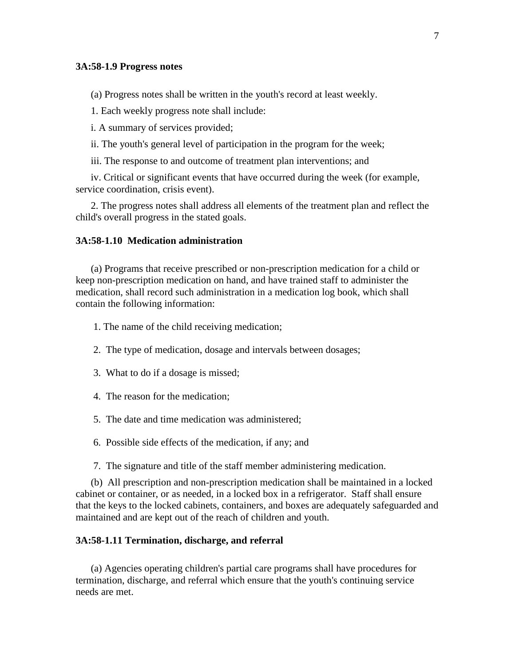#### **3A:58-1.9 Progress notes**

(a) Progress notes shall be written in the youth's record at least weekly.

1. Each weekly progress note shall include:

i. A summary of services provided;

ii. The youth's general level of participation in the program for the week;

iii. The response to and outcome of treatment plan interventions; and

iv. Critical or significant events that have occurred during the week (for example, service coordination, crisis event).

2. The progress notes shall address all elements of the treatment plan and reflect the child's overall progress in the stated goals.

# **3A:58-1.10 Medication administration**

(a) Programs that receive prescribed or non-prescription medication for a child or keep non-prescription medication on hand, and have trained staff to administer the medication, shall record such administration in a medication log book, which shall contain the following information:

1. The name of the child receiving medication;

- 2. The type of medication, dosage and intervals between dosages;
- 3. What to do if a dosage is missed;
- 4. The reason for the medication;
- 5. The date and time medication was administered;
- 6. Possible side effects of the medication, if any; and

7. The signature and title of the staff member administering medication.

(b) All prescription and non-prescription medication shall be maintained in a locked cabinet or container, or as needed, in a locked box in a refrigerator. Staff shall ensure that the keys to the locked cabinets, containers, and boxes are adequately safeguarded and maintained and are kept out of the reach of children and youth.

#### **3A:58-1.11 Termination, discharge, and referral**

(a) Agencies operating children's partial care programs shall have procedures for termination, discharge, and referral which ensure that the youth's continuing service needs are met.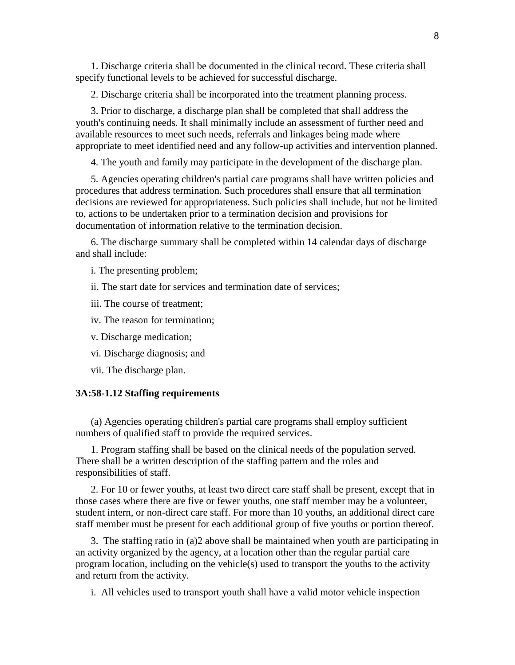1. Discharge criteria shall be documented in the clinical record. These criteria shall specify functional levels to be achieved for successful discharge.

2. Discharge criteria shall be incorporated into the treatment planning process.

3. Prior to discharge, a discharge plan shall be completed that shall address the youth's continuing needs. It shall minimally include an assessment of further need and available resources to meet such needs, referrals and linkages being made where appropriate to meet identified need and any follow-up activities and intervention planned.

4. The youth and family may participate in the development of the discharge plan.

5. Agencies operating children's partial care programs shall have written policies and procedures that address termination. Such procedures shall ensure that all termination decisions are reviewed for appropriateness. Such policies shall include, but not be limited to, actions to be undertaken prior to a termination decision and provisions for documentation of information relative to the termination decision.

6. The discharge summary shall be completed within 14 calendar days of discharge and shall include:

i. The presenting problem;

ii. The start date for services and termination date of services;

iii. The course of treatment;

iv. The reason for termination;

v. Discharge medication;

vi. Discharge diagnosis; and

vii. The discharge plan.

### **3A:58-1.12 Staffing requirements**

(a) Agencies operating children's partial care programs shall employ sufficient numbers of qualified staff to provide the required services.

1. Program staffing shall be based on the clinical needs of the population served. There shall be a written description of the staffing pattern and the roles and responsibilities of staff.

2. For 10 or fewer youths, at least two direct care staff shall be present, except that in those cases where there are five or fewer youths, one staff member may be a volunteer, student intern, or non-direct care staff. For more than 10 youths, an additional direct care staff member must be present for each additional group of five youths or portion thereof.

3. The staffing ratio in (a)2 above shall be maintained when youth are participating in an activity organized by the agency, at a location other than the regular partial care program location, including on the vehicle(s) used to transport the youths to the activity and return from the activity.

i. All vehicles used to transport youth shall have a valid motor vehicle inspection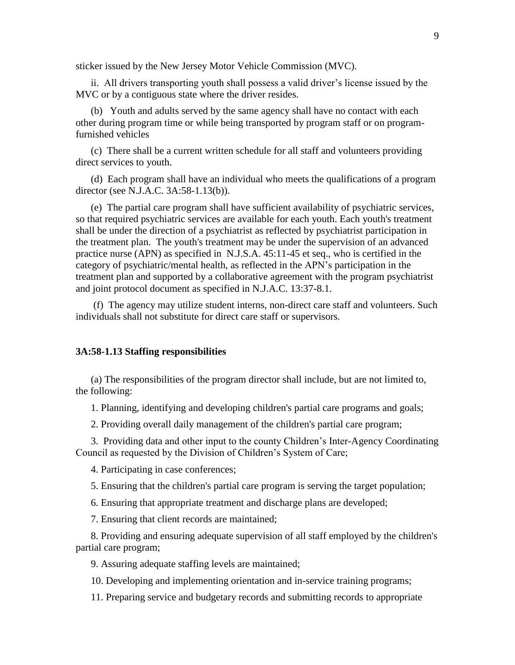sticker issued by the New Jersey Motor Vehicle Commission (MVC).

ii. All drivers transporting youth shall possess a valid driver's license issued by the MVC or by a contiguous state where the driver resides.

(b) Youth and adults served by the same agency shall have no contact with each other during program time or while being transported by program staff or on programfurnished vehicles

(c) There shall be a current written schedule for all staff and volunteers providing direct services to youth.

(d) Each program shall have an individual who meets the qualifications of a program director (see N.J.A.C. 3A:58-1.13(b)).

(e) The partial care program shall have sufficient availability of psychiatric services, so that required psychiatric services are available for each youth. Each youth's treatment shall be under the direction of a psychiatrist as reflected by psychiatrist participation in the treatment plan. The youth's treatment may be under the supervision of an advanced practice nurse (APN) as specified in N.J.S.A. 45:11-45 et seq., who is certified in the category of psychiatric/mental health, as reflected in the APN's participation in the treatment plan and supported by a collaborative agreement with the program psychiatrist and joint protocol document as specified in N.J.A.C. 13:37-8.1.

(f) The agency may utilize student interns, non-direct care staff and volunteers. Such individuals shall not substitute for direct care staff or supervisors.

#### **3A:58-1.13 Staffing responsibilities**

(a) The responsibilities of the program director shall include, but are not limited to, the following:

1. Planning, identifying and developing children's partial care programs and goals;

2. Providing overall daily management of the children's partial care program;

3. Providing data and other input to the county Children's Inter-Agency Coordinating Council as requested by the Division of Children's System of Care;

4. Participating in case conferences;

5. Ensuring that the children's partial care program is serving the target population;

6. Ensuring that appropriate treatment and discharge plans are developed;

7. Ensuring that client records are maintained;

8. Providing and ensuring adequate supervision of all staff employed by the children's partial care program;

9. Assuring adequate staffing levels are maintained;

10. Developing and implementing orientation and in-service training programs;

11. Preparing service and budgetary records and submitting records to appropriate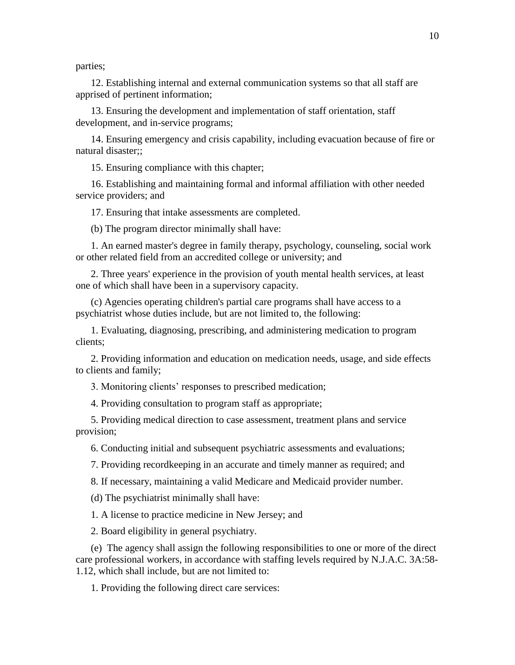parties;

12. Establishing internal and external communication systems so that all staff are apprised of pertinent information;

13. Ensuring the development and implementation of staff orientation, staff development, and in-service programs;

14. Ensuring emergency and crisis capability, including evacuation because of fire or natural disaster;;

15. Ensuring compliance with this chapter;

16. Establishing and maintaining formal and informal affiliation with other needed service providers; and

17. Ensuring that intake assessments are completed.

(b) The program director minimally shall have:

1. An earned master's degree in family therapy, psychology, counseling, social work or other related field from an accredited college or university; and

2. Three years' experience in the provision of youth mental health services, at least one of which shall have been in a supervisory capacity.

(c) Agencies operating children's partial care programs shall have access to a psychiatrist whose duties include, but are not limited to, the following:

1. Evaluating, diagnosing, prescribing, and administering medication to program clients;

2. Providing information and education on medication needs, usage, and side effects to clients and family;

3. Monitoring clients' responses to prescribed medication;

4. Providing consultation to program staff as appropriate;

5. Providing medical direction to case assessment, treatment plans and service provision;

6. Conducting initial and subsequent psychiatric assessments and evaluations;

7. Providing recordkeeping in an accurate and timely manner as required; and

8. If necessary, maintaining a valid Medicare and Medicaid provider number.

(d) The psychiatrist minimally shall have:

1. A license to practice medicine in New Jersey; and

2. Board eligibility in general psychiatry.

(e) The agency shall assign the following responsibilities to one or more of the direct care professional workers, in accordance with staffing levels required by N.J.A.C. 3A:58- 1.12, which shall include, but are not limited to:

1. Providing the following direct care services: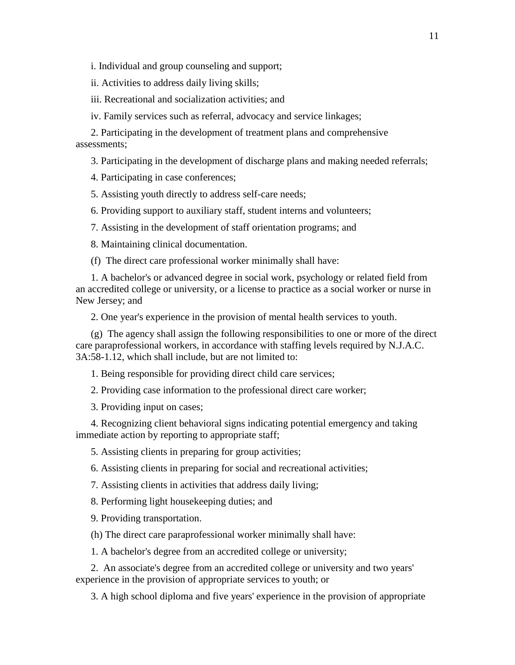i. Individual and group counseling and support;

ii. Activities to address daily living skills;

iii. Recreational and socialization activities; and

iv. Family services such as referral, advocacy and service linkages;

2. Participating in the development of treatment plans and comprehensive assessments;

3. Participating in the development of discharge plans and making needed referrals;

4. Participating in case conferences;

5. Assisting youth directly to address self-care needs;

6. Providing support to auxiliary staff, student interns and volunteers;

7. Assisting in the development of staff orientation programs; and

8. Maintaining clinical documentation.

(f) The direct care professional worker minimally shall have:

1. A bachelor's or advanced degree in social work, psychology or related field from an accredited college or university, or a license to practice as a social worker or nurse in New Jersey; and

2. One year's experience in the provision of mental health services to youth.

(g) The agency shall assign the following responsibilities to one or more of the direct care paraprofessional workers, in accordance with staffing levels required by N.J.A.C. 3A:58-1.12, which shall include, but are not limited to:

1. Being responsible for providing direct child care services;

2. Providing case information to the professional direct care worker;

3. Providing input on cases;

4. Recognizing client behavioral signs indicating potential emergency and taking immediate action by reporting to appropriate staff;

5. Assisting clients in preparing for group activities;

6. Assisting clients in preparing for social and recreational activities;

7. Assisting clients in activities that address daily living;

8. Performing light housekeeping duties; and

9. Providing transportation.

(h) The direct care paraprofessional worker minimally shall have:

1. A bachelor's degree from an accredited college or university;

2. An associate's degree from an accredited college or university and two years' experience in the provision of appropriate services to youth; or

3. A high school diploma and five years' experience in the provision of appropriate